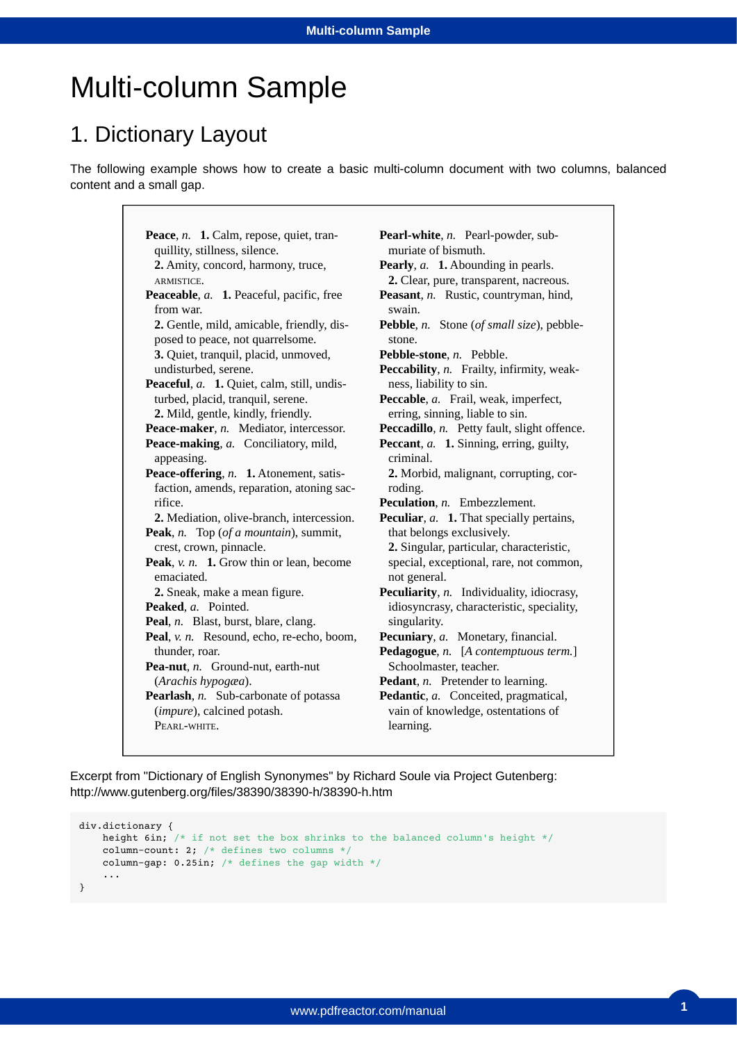# Multi-column Sample

#### 1. Dictionary Layout

The following example shows how to create a basic multi-column document with two columns, balanced content and a small gap.

> **Peace**, *n.* **1.** Calm, repose, quiet, tran-**Peaceable**, *a.* **1.** Peaceful, pacific, free **Peaceful**, *a.* **1.** Quiet, calm, still, undis-**Peace-maker**, *n.* Mediator, intercessor. **Peace-making**, *a.* Conciliatory, mild, **Peace-offering**, *n.* **1.** Atonement, satis-**Peak**, *n.* Top (*of a mountain*), summit, **Peak**, *v. n.* **1.** Grow thin or lean, become **Peaked**, *a.* Pointed. **Peal**, *n.* Blast, burst, blare, clang. **Peal**, *v. n.* Resound, echo, re-echo, boom, **Pea-nut**, *n.* Ground-nut, earth-nut **Pearlash**, *n.* Sub-carbonate of potassa quillity, stillness, silence. **2.** Amity, concord, harmony, truce, ARMISTICE. from war. **2.** Gentle, mild, amicable, friendly, disposed to peace, not quarrelsome. **3.** Quiet, tranquil, placid, unmoved, undisturbed, serene. turbed, placid, tranquil, serene. **2.** Mild, gentle, kindly, friendly. appeasing. faction, amends, reparation, atoning sacrifice. **2.** Mediation, olive-branch, intercession. crest, crown, pinnacle. emaciated. **2.** Sneak, make a mean figure. thunder, roar. (*Arachis hypogæa*). (*impure*), calcined potash. PEARL-WHITE.

**Pearl-white**, *n.* Pearl-powder, sub-**Pearly**, *a.* **1.** Abounding in pearls. **Peasant**, *n.* Rustic, countryman, hind, **Pebble**, *n.* Stone (*of small size*), pebble-**Pebble-stone**, *n.* Pebble. Peccability, n. Frailty, infirmity, weak-**Peccable**, *a.* Frail, weak, imperfect, Peccadillo, *n*. Petty fault, slight offence. **Peccant**, *a.* **1.** Sinning, erring, guilty, **Peculation**, *n.* Embezzlement. **Peculiar**, *a.* **1.** That specially pertains, **Peculiarity**, *n.* Individuality, idiocrasy, **Pecuniary**, *a.* Monetary, financial. **Pedagogue**, *n.* [*A contemptuous term.*] **Pedant**, *n.* Pretender to learning. **Pedantic**, *a.* Conceited, pragmatical, muriate of bismuth. **2.** Clear, pure, transparent, nacreous. swain. stone. ness, liability to sin. erring, sinning, liable to sin. criminal. **2.** Morbid, malignant, corrupting, corroding. that belongs exclusively. **2.** Singular, particular, characteristic, special, exceptional, rare, not common, not general. idiosyncrasy, characteristic, speciality, singularity. Schoolmaster, teacher. vain of knowledge, ostentations of learning.

Excerpt from "Dictionary of English Synonymes" by Richard Soule via Project Gutenberg: http://www.gutenberg.org/files/38390/38390-h/38390-h.htm

```
div.dictionary {
   height 6in; /* if not set the box shrinks to the balanced column's height */ column-count: 2; /* defines two columns */
   column-gap: 0.25in; /* defines the gap width */
 ...
}
```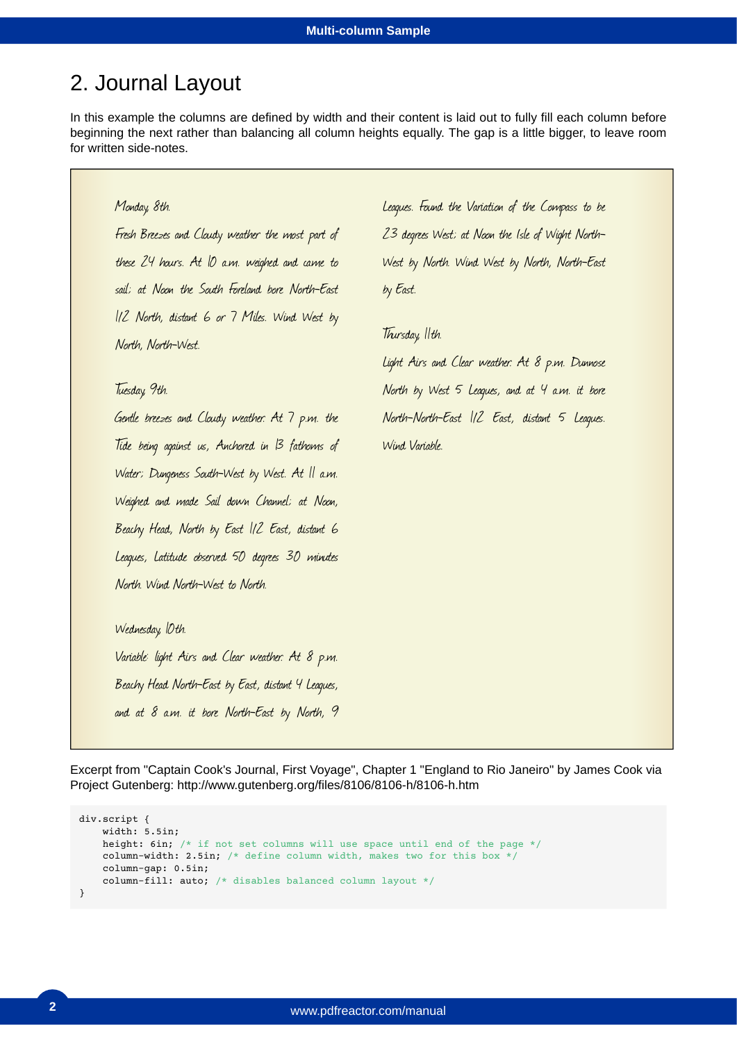#### 2. Journal Layout

In this example the columns are defined by width and their content is laid out to fully fill each column before beginning the next rather than balancing all column heights equally. The gap is a little bigger, to leave room for written side-notes.

#### Monday, 8th.

Fresh Breezes and Cloudy weather the most part of these 24 hours. At 10 a.m. weighed and came to sail; at Noon the South Foreland bore North-East 1/2 North, distant 6 or 7 Miles. Wind West by North, North-West.

Tuesday, 9th.

Gentle breezes and Cloudy weather. At 7 p.m. the Tide being against us, Anchored in 13 fathoms of Water; Dungeness South-West by West. At 11 a.m. Weighed and made Sail down Channel; at Noon, Beachy Head, North by East 1/2 East, distant 6 Leagues, Latitude observed 50 degrees 30 minutes North. Wind North-West to North.

Leagues. Found the Variation of the Compass to be 23 degrees West; at Noon the Isle of Wight North-West by North. Wind West by North, North-East by East.

Thursday, 11th.

Light Airs and Clear weather. At 8 p.m. Dunnose North by West 5 Leagues, and at 4 a.m. it bore North-North-East 1/2 East, distant 5 Leagues. Wind Variable.

Wednesday, *Oth.* Variable: light Airs and Clear weather. At 8 p.m. Beachy Head North-East by East, distant 4 Leagues, and at 8 a.m. it bore North-East by North, 9

Excerpt from "Captain Cook's Journal, First Voyage", Chapter 1 "England to Rio Janeiro" by James Cook via Project Gutenberg: http://www.gutenberg.org/files/8106/8106-h/8106-h.htm

```
div.script {
    width: 5.5in;
   height: 6in; /* if not set columns will use space until end of the page */ column-width: 2.5in; /* define column width, makes two for this box */
    column-gap: 0.5in;
    column-fill: auto; /* disables balanced column layout */
}
```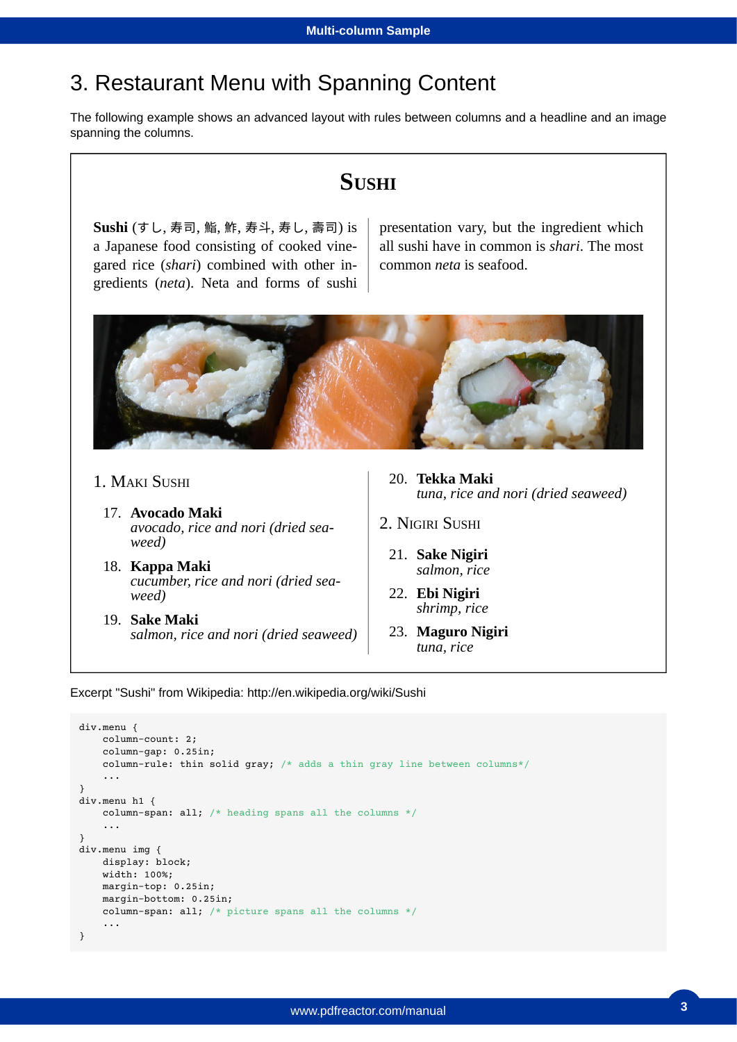#### 3. Restaurant Menu with Spanning Content

The following example shows an advanced layout with rules between columns and a headline and an image spanning the columns.

#### **SUSHI**

**Sushi** (すし, 寿司, 鮨, 鮓, 寿斗, 寿し, 壽司) is a Japanese food consisting of cooked vinegared rice (*shari*) combined with other ingredients (*neta*). Neta and forms of sushi

presentation vary, but the ingredient which all sushi have in common is *shari*. The most common *neta* is seafood.



- 1. MAKI SUSHI
	- 17. **Avocado Maki** *avocado, rice and nori (dried seaweed)*
	- 18. **Kappa Maki** *cucumber, rice and nori (dried seaweed)*
	- 19. **Sake Maki** *salmon, rice and nori (dried seaweed)*
- 20. **Tekka Maki** *tuna, rice and nori (dried seaweed)*
- 2. NIGIRI SUSHI
	- 21. **Sake Nigiri** *salmon, rice*
	- 22. **Ebi Nigiri** *shrimp, rice*
	- 23. **Maguro Nigiri** *tuna, rice*

Excerpt "Sushi" from Wikipedia: http://en.wikipedia.org/wiki/Sushi

```
div.menu {
    column-count: 2;
    column-gap: 0.25in;
    column-rule: thin solid gray; /* adds a thin gray line between columns*/
     ...
}
div.menu h1 {
    column-span: all; /* heading spans all the columns */
     ...
}
div.menu img {
    display: block;
    width: 100%;
    margin-top: 0.25in;
    margin-bottom: 0.25in;
    column-span: all; /* picture spans all the columns */
     ...
}
```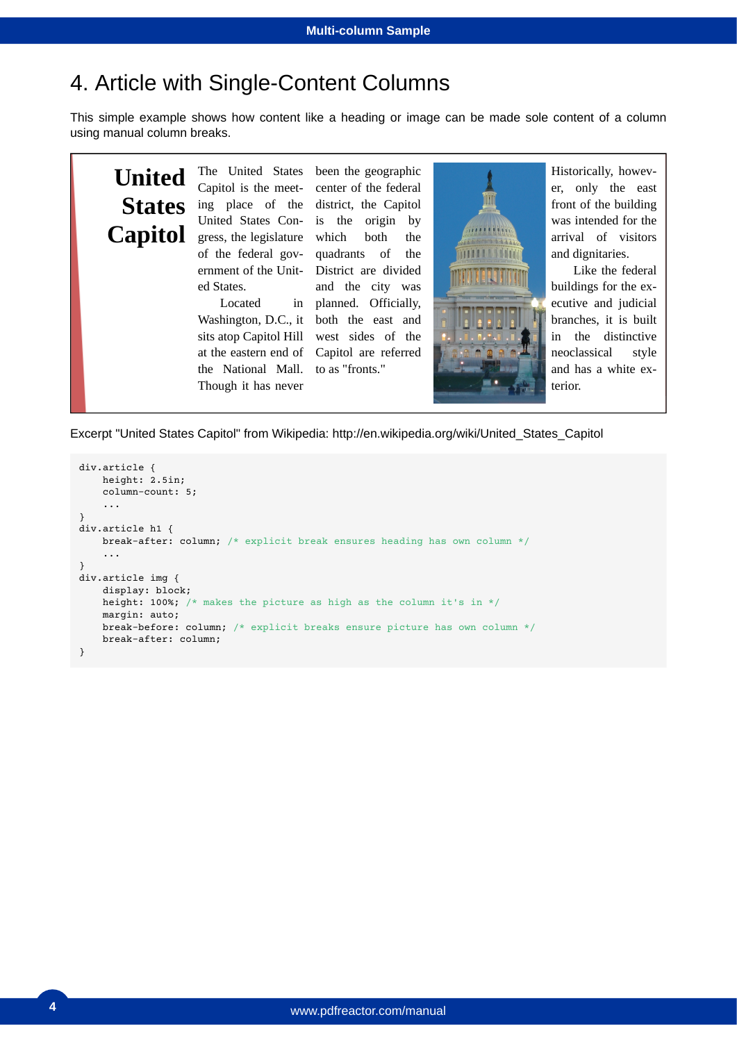## 4. Article with Single-Content Columns

This simple example shows how content like a heading or image can be made sole content of a column using manual column breaks.



Excerpt "United States Capitol" from Wikipedia: http://en.wikipedia.org/wiki/United\_States\_Capitol

```
div.article {
    height: 2.5in;
     column-count: 5;
     ...
}
div.article h1 {
    break-after: column; /* explicit break ensures heading has own column */
     ...
}
div.article img {
     display: block;
   height: 100%; /* makes the picture as high as the column it's in */ margin: auto;
    break-before: column; /* explicit breaks ensure picture has own column */
    break-after: column;
}
```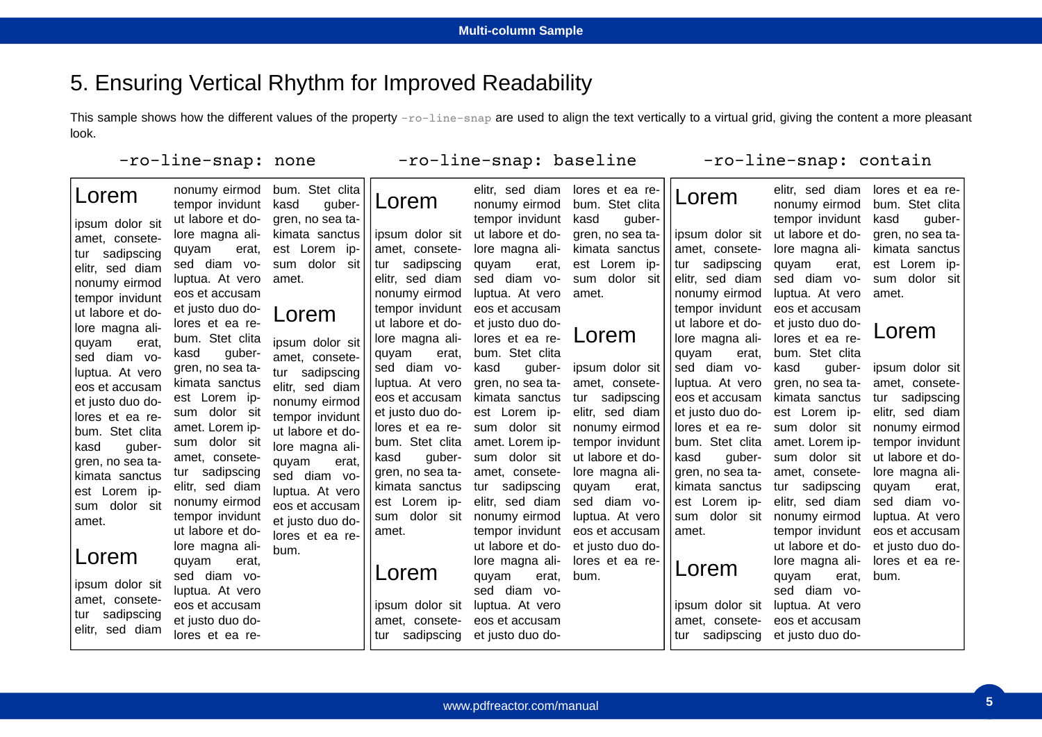### 5. Ensuring Vertical Rhythm for Improved Readability

This sample shows how the different values of the property  $-$ *ro* $-$ line-snap are used to align the text vertically to a virtual grid, giving the content a more pleasant look.

-ro-line-snap: baseline

#### -ro-line-snap: none

| Lorem                                                                                                                                             | nonumy eirmod<br>tempor invidunt<br>ut labore et do-                                                        | bum. Stet clita<br>guber-<br>kasd<br>gren, no sea ta-  | Lorem                                                   | elitr, sed diam<br>nonumy eirmod<br>tempor invidunt   | lores et ea re-<br>bum. Stet clita<br>kasd<br>guber- | Lorem                                                  | elitr, sed diam<br>nonumy eirmod<br>tempor invidunt   | lores et ea re-<br>bum. Stet clita<br>kasd<br>quber- |
|---------------------------------------------------------------------------------------------------------------------------------------------------|-------------------------------------------------------------------------------------------------------------|--------------------------------------------------------|---------------------------------------------------------|-------------------------------------------------------|------------------------------------------------------|--------------------------------------------------------|-------------------------------------------------------|------------------------------------------------------|
| ipsum dolor sit<br>amet, consete-<br>tur sadipscing<br>elitr, sed diam<br>nonumy eirmod<br>tempor invidunt<br>ut labore et do-<br>lore magna ali- | lore magna ali-<br>quyam<br>erat.                                                                           | kimata sanctus<br>est Lorem ip-                        | lipsum dolor sit<br>amet. consete-                      | ut labore et do-<br>lore magna ali-                   | gren, no sea ta-<br>kimata sanctus                   | ipsum dolor sit<br>amet, consete-                      | ut labore et do-<br>lore magna ali-                   | gren, no sea ta-<br>kimata sanctus                   |
|                                                                                                                                                   | sed diam vo-<br>luptua. At vero<br>eos et accusam<br>et justo duo do-<br>lores et ea re-<br>bum. Stet clita | sum dolor<br>sit<br>amet.<br>Lorem                     | sadipscing<br>∣ tur<br>elitr, sed diam<br>nonumy eirmod | quyam<br>erat,<br>sed diam vo-<br>luptua. At vero     | est Lorem ip-<br>sum dolor sit<br>amet.              | tur sadipscing<br>elitr, sed diam<br>nonumy eirmod     | quyam<br>erat,<br>sed diam vo-<br>luptua. At vero     | est Lorem ip-<br>sum dolor sit<br>amet.              |
|                                                                                                                                                   |                                                                                                             |                                                        | tempor invidunt<br>ut labore et do-<br>lore magna ali-  | eos et accusam<br>et justo duo do-<br>lores et ea re- | Lorem                                                | tempor invidunt<br>ut labore et do-<br>lore magna ali- | eos et accusam<br>et justo duo do-<br>lores et ea re- | Lorem                                                |
| quyam<br>erat.<br>sed diam vo-<br>luptua. At vero                                                                                                 | guber-<br>kasd<br>gren, no sea ta-                                                                          | ipsum dolor sit<br>amet, consete-<br>sadipscing<br>tur | erat,<br>quyam<br>sed diam vo-                          | bum. Stet clita<br>kasd<br>guber-                     | ipsum dolor sit                                      | quyam<br>erat.<br>sed diam vo-                         | bum. Stet clita<br>kasd<br>guber-                     | ipsum dolor sit                                      |
| eos et accusam<br>et justo duo do-                                                                                                                | kimata sanctus<br>est Lorem ip-                                                                             | elitr, sed diam<br>nonumy eirmod                       | luptua. At vero<br>eos et accusam                       | gren, no sea ta-<br>kimata sanctus                    | amet, consete-<br>sadipscing<br>tur                  | luptua. At vero<br>eos et accusam                      | gren, no sea ta-<br>kimata sanctus                    | amet, consete-<br>sadipscing<br>tur                  |
| lores et ea re-<br>bum. Stet clita<br>kasd<br>guber-                                                                                              | sum dolor sit<br>amet. Lorem ip-<br>sum dolor sit                                                           | tempor invidunt<br>ut labore et do-<br>lore magna ali- | et justo duo do-<br>lores et ea re-<br>bum. Stet clita  | est Lorem ip-<br>sum dolor sit<br>amet. Lorem ip-     | elitr, sed diam<br>nonumy eirmod<br>tempor invidunt  | et justo duo do-<br>lores et ea re-<br>bum. Stet clita | est Lorem ip-<br>sum dolor sit<br>amet. Lorem ip-     | elitr, sed diam<br>nonumy eirmod<br>tempor invidunt  |
| gren, no sea ta-<br>kimata sanctus                                                                                                                | amet, consete-<br>tur sadipscing                                                                            | quyam<br>erat,<br>sed diam vo-                         | guber-<br>kasd<br>gren, no sea ta-                      | dolor sit<br>sum<br>amet, consete-                    | ut labore et do-<br>lore magna ali-                  | kasd<br>guber-<br>gren, no sea ta-                     | dolor sit<br>sum<br>amet, consete-                    | ut labore et do-<br>lore magna ali-                  |
| est Lorem ip-<br>sum dolor sit                                                                                                                    | elitr, sed diam<br>nonumy eirmod<br>tempor invidunt                                                         | luptua. At vero<br>eos et accusam                      | kimata sanctus<br>est Lorem ip-<br>dolor sit<br>sum     | sadipscing<br>tur<br>elitr, sed diam<br>nonumy eirmod | quyam<br>erat.<br>sed diam vo-<br>luptua. At vero    | kimata sanctus<br>est Lorem ip-<br>sum dolor<br>sit    | sadipscing<br>tur<br>elitr, sed diam<br>nonumy eirmod | quyam<br>erat.<br>sed diam vo-<br>luptua. At vero    |
| amet.                                                                                                                                             | ut labore et do-<br>lore magna ali-                                                                         | et justo duo do-<br>lores et ea re-<br>bum.            | amet.                                                   | tempor invidunt<br>ut labore et do-                   | eos et accusam<br>et justo duo do-                   | amet.                                                  | tempor invidunt<br>ut labore et do-                   | eos et accusam<br>et justo duo do-                   |
| Lorem<br>ipsum dolor sit                                                                                                                          | quyam<br>erat.<br>sed diam vo-<br>luptua. At vero                                                           |                                                        | Lorem                                                   | lore magna ali-<br>quyam<br>erat,<br>sed diam vo-     | lores et ea re-<br>bum.                              | Lorem                                                  | lore magna ali-<br>quyam<br>erat,<br>sed diam vo-     | lores et ea re-<br>bum.                              |
| amet, consete-<br>tur sadipscing<br>elitr, sed diam                                                                                               | eos et accusam<br>et justo duo do-<br>lores et ea re-                                                       |                                                        | ipsum dolor sit<br>amet. consete-<br>sadipscing<br>tur  | luptua. At vero<br>eos et accusam<br>et justo duo do- |                                                      | ipsum dolor sit<br>amet, consete-<br>tur sadipscing    | luptua. At vero<br>eos et accusam<br>et justo duo do- |                                                      |
|                                                                                                                                                   |                                                                                                             |                                                        |                                                         |                                                       |                                                      |                                                        |                                                       |                                                      |

-ro-line-snap: contain